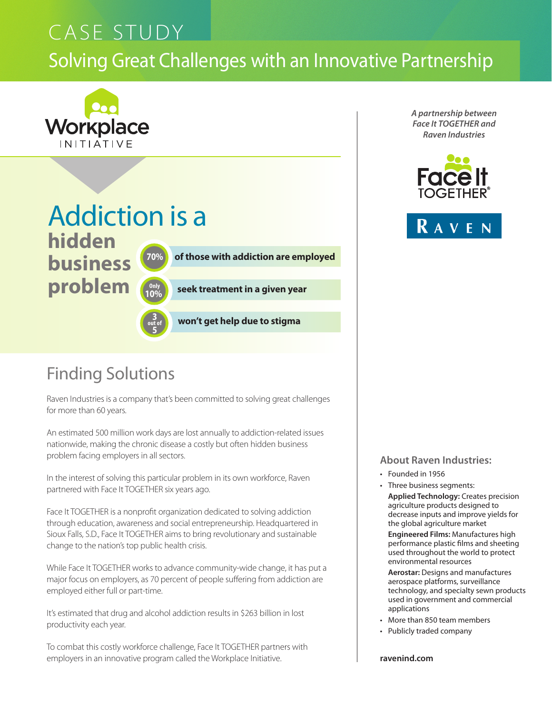# Solving Great Challenges with an Innovative Partnership CASE STUDY



# Addiction is a **hidden**

**business problem**



 **70% of those with addiction are employed**

**10% seek treatment in a given year**



 **won't get help due to stigma**

## Finding Solutions

Raven Industries is a company that's been committed to solving great challenges for more than 60 years.

An estimated 500 million work days are lost annually to addiction-related issues nationwide, making the chronic disease a costly but often hidden business problem facing employers in all sectors.

In the interest of solving this particular problem in its own workforce, Raven partnered with Face It TOGETHER six years ago.

Face It TOGETHER is a nonprofit organization dedicated to solving addiction through education, awareness and social entrepreneurship. Headquartered in Sioux Falls, S.D., Face It TOGETHER aims to bring revolutionary and sustainable change to the nation's top public health crisis.

While Face It TOGETHER works to advance community-wide change, it has put a major focus on employers, as 70 percent of people suffering from addiction are employed either full or part-time.

It's estimated that drug and alcohol addiction results in \$263 billion in lost productivity each year.

To combat this costly workforce challenge, Face It TOGETHER partners with employers in an innovative program called the Workplace Initiative.

*A partnership between Face It TOGETHER and Raven Industries*





**About Raven Industries:**

- Founded in 1956
- Three business segments: **Applied Technology:** Creates precision agriculture products designed to decrease inputs and improve yields for the global agriculture market

**Engineered Films:** Manufactures high performance plastic films and sheeting used throughout the world to protect environmental resources

**Aerostar:** Designs and manufactures aerospace platforms, surveillance technology, and specialty sewn products used in government and commercial applications

- More than 850 team members
- Publicly traded company

**ravenind.com**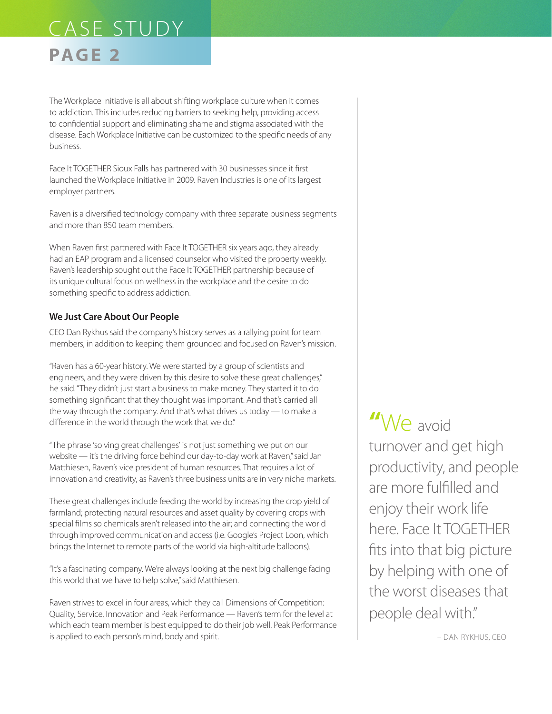## **PAGE 2**

The Workplace Initiative is all about shifting workplace culture when it comes to addiction. This includes reducing barriers to seeking help, providing access to confidential support and eliminating shame and stigma associated with the disease. Each Workplace Initiative can be customized to the specific needs of any business.

Face It TOGETHER Sioux Falls has partnered with 30 businesses since it first launched the Workplace Initiative in 2009. Raven Industries is one of its largest employer partners.

Raven is a diversified technology company with three separate business segments and more than 850 team members.

When Raven first partnered with Face It TOGETHER six years ago, they already had an EAP program and a licensed counselor who visited the property weekly. Raven's leadership sought out the Face It TOGETHER partnership because of its unique cultural focus on wellness in the workplace and the desire to do something specific to address addiction.

#### **We Just Care About Our People**

CEO Dan Rykhus said the company's history serves as a rallying point for team members, in addition to keeping them grounded and focused on Raven's mission.

"Raven has a 60-year history. We were started by a group of scientists and engineers, and they were driven by this desire to solve these great challenges," he said. "They didn't just start a business to make money. They started it to do something significant that they thought was important. And that's carried all the way through the company. And that's what drives us today — to make a difference in the world through the work that we do."

"The phrase 'solving great challenges' is not just something we put on our website — it's the driving force behind our day-to-day work at Raven," said Jan Matthiesen, Raven's vice president of human resources. That requires a lot of innovation and creativity, as Raven's three business units are in very niche markets.

These great challenges include feeding the world by increasing the crop yield of farmland; protecting natural resources and asset quality by covering crops with special films so chemicals aren't released into the air; and connecting the world through improved communication and access (i.e. Google's Project Loon, which brings the Internet to remote parts of the world via high-altitude balloons).

"It's a fascinating company. We're always looking at the next big challenge facing this world that we have to help solve," said Matthiesen.

Raven strives to excel in four areas, which they call Dimensions of Competition: Quality, Service, Innovation and Peak Performance — Raven's term for the level at which each team member is best equipped to do their job well. Peak Performance is applied to each person's mind, body and spirit.

**"**We avoid turnover and get high productivity, and people are more fulfilled and enjoy their work life here. Face It TOGETHER fits into that big picture by helping with one of the worst diseases that people deal with."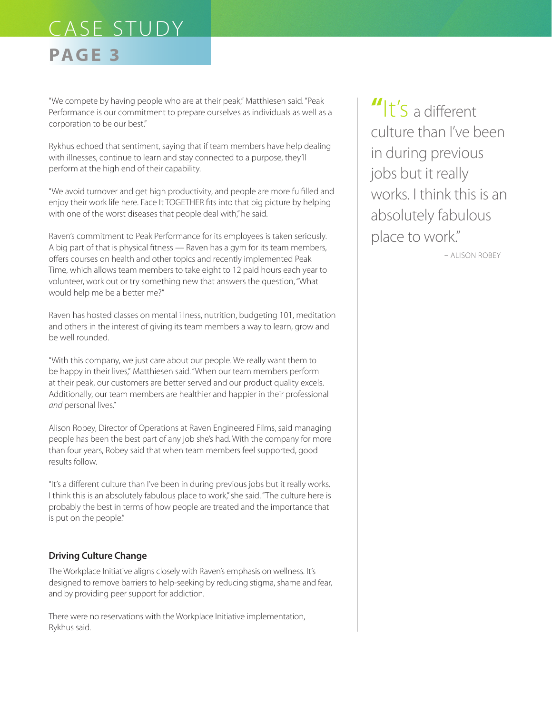## **PAGE 3**

"We compete by having people who are at their peak," Matthiesen said. "Peak Performance is our commitment to prepare ourselves as individuals as well as a corporation to be our best."

Rykhus echoed that sentiment, saying that if team members have help dealing with illnesses, continue to learn and stay connected to a purpose, they'll perform at the high end of their capability.

"We avoid turnover and get high productivity, and people are more fulfilled and enjoy their work life here. Face It TOGETHER fits into that big picture by helping with one of the worst diseases that people deal with," he said.

Raven's commitment to Peak Performance for its employees is taken seriously. A big part of that is physical fitness — Raven has a gym for its team members, offers courses on health and other topics and recently implemented Peak Time, which allows team members to take eight to 12 paid hours each year to volunteer, work out or try something new that answers the question, "What would help me be a better me?"

Raven has hosted classes on mental illness, nutrition, budgeting 101, meditation and others in the interest of giving its team members a way to learn, grow and be well rounded.

"With this company, we just care about our people. We really want them to be happy in their lives," Matthiesen said. "When our team members perform at their peak, our customers are better served and our product quality excels. Additionally, our team members are healthier and happier in their professional *and* personal lives."

Alison Robey, Director of Operations at Raven Engineered Films, said managing people has been the best part of any job she's had. With the company for more than four years, Robey said that when team members feel supported, good results follow.

"It's a different culture than I've been in during previous jobs but it really works. I think this is an absolutely fabulous place to work," she said. "The culture here is probably the best in terms of how people are treated and the importance that is put on the people."

### **Driving Culture Change**

The Workplace Initiative aligns closely with Raven's emphasis on wellness. It's designed to remove barriers to help-seeking by reducing stigma, shame and fear, and by providing peer support for addiction.

There were no reservations with the Workplace Initiative implementation, Rykhus said.

**"**It's a different culture than I've been in during previous jobs but it really works. I think this is an absolutely fabulous place to work."

– Alison Robey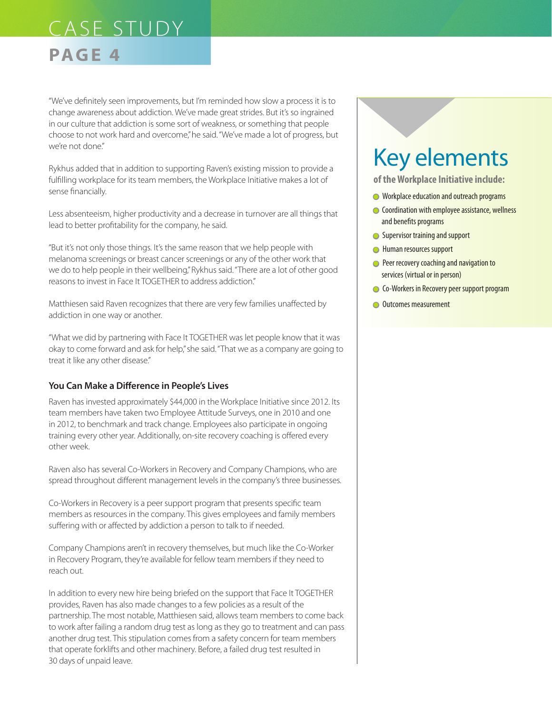### **PAGE 4**

"We've definitely seen improvements, but I'm reminded how slow a process it is to change awareness about addiction. We've made great strides. But it's so ingrained in our culture that addiction is some sort of weakness, or something that people choose to not work hard and overcome," he said. "We've made a lot of progress, but we're not done."

Rykhus added that in addition to supporting Raven's existing mission to provide a fulfilling workplace for its team members, the Workplace Initiative makes a lot of sense financially.

Less absenteeism, higher productivity and a decrease in turnover are all things that lead to better profitability for the company, he said.

"But it's not only those things. It's the same reason that we help people with melanoma screenings or breast cancer screenings or any of the other work that we do to help people in their wellbeing," Rykhus said. "There are a lot of other good reasons to invest in Face It TOGETHER to address addiction."

Matthiesen said Raven recognizes that there are very few families unaffected by addiction in one way or another.

"What we did by partnering with Face It TOGETHER was let people know that it was okay to come forward and ask for help," she said. "That we as a company are going to treat it like any other disease."

#### **You Can Make a Difference in People's Lives**

Raven has invested approximately \$44,000 in the Workplace Initiative since 2012. Its team members have taken two Employee Attitude Surveys, one in 2010 and one in 2012, to benchmark and track change. Employees also participate in ongoing training every other year. Additionally, on-site recovery coaching is offered every other week.

Raven also has several Co-Workers in Recovery and Company Champions, who are spread throughout different management levels in the company's three businesses.

Co-Workers in Recovery is a peer support program that presents specific team members as resources in the company. This gives employees and family members suffering with or affected by addiction a person to talk to if needed.

Company Champions aren't in recovery themselves, but much like the Co-Worker in Recovery Program, they're available for fellow team members if they need to reach out.

In addition to every new hire being briefed on the support that Face It TOGETHER provides, Raven has also made changes to a few policies as a result of the partnership. The most notable, Matthiesen said, allows team members to come back to work after failing a random drug test as long as they go to treatment and can pass another drug test. This stipulation comes from a safety concern for team members that operate forklifts and other machinery. Before, a failed drug test resulted in 30 days of unpaid leave.

# Key elements

**of the Workplace Initiative include:**

- **In Workplace education and outreach programs**
- **Coordination with employee assistance, wellness** and benefits programs
- **Supervisor training and support**
- **I** Human resources support
- **Peer recovery coaching and navigation to** services (virtual or in person)
- **Co-Workers in Recovery peer support program**
- **Outcomes measurement**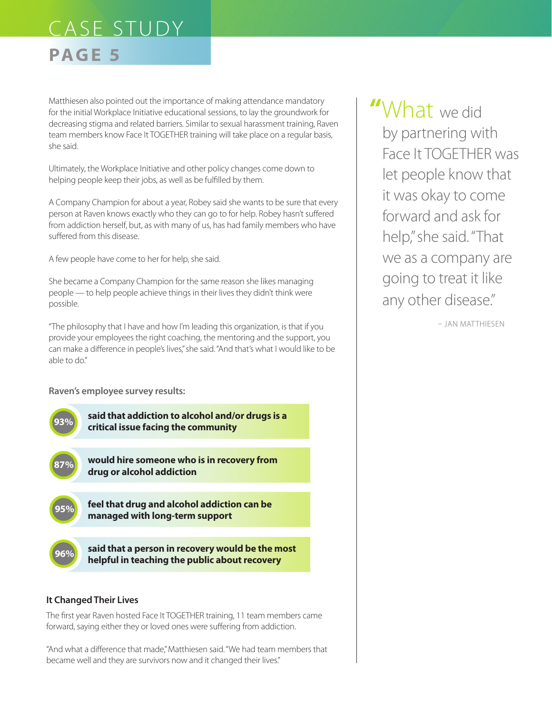## **PAGE 5**

Matthiesen also pointed out the importance of making attendance mandatory for the initial Workplace Initiative educational sessions, to lay the groundwork for decreasing stigma and related barriers. Similar to sexual harassment training, Raven team members know Face It TOGETHER training will take place on a regular basis, she said.

Ultimately, the Workplace Initiative and other policy changes come down to helping people keep their jobs, as well as be fulfilled by them.

A Company Champion for about a year, Robey said she wants to be sure that every person at Raven knows exactly who they can go to for help. Robey hasn't suffered from addiction herself, but, as with many of us, has had family members who have suffered from this disease.

A few people have come to her for help, she said.

She became a Company Champion for the same reason she likes managing people — to help people achieve things in their lives they didn't think were possible.

"The philosophy that I have and how I'm leading this organization, is that if you provide your employees the right coaching, the mentoring and the support, you can make a difference in people's lives," she said. "And that's what I would like to be able to do"

**Raven's employee survey results:**



### **It Changed Their Lives**

The first year Raven hosted Face It TOGETHER training, 11 team members came forward, saying either they or loved ones were suffering from addiction.

"And what a difference that made," Matthiesen said. "We had team members that became well and they are survivors now and it changed their lives."

**"**What we did by partnering with Face It TOGETHER was let people know that it was okay to come forward and ask for help," she said. "That we as a company are going to treat it like any other disease."

– Jan Matthiesen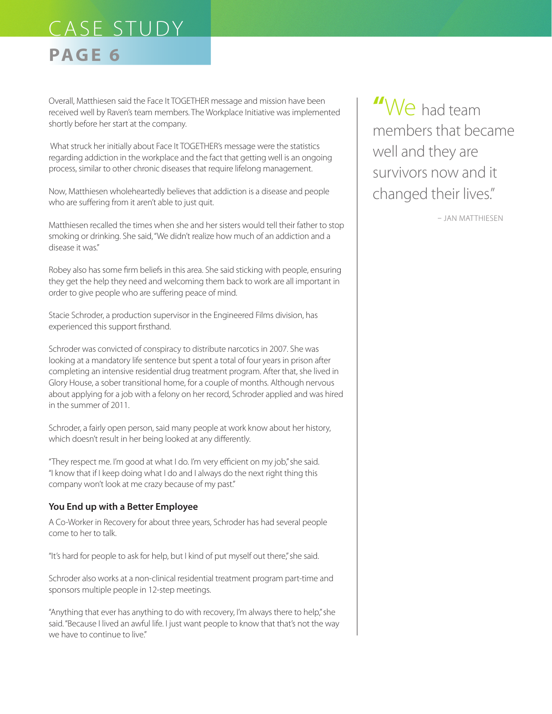# CASE STUDY **PAGE 6**

Overall, Matthiesen said the Face It TOGETHER message and mission have been received well by Raven's team members. The Workplace Initiative was implemented shortly before her start at the company.

 What struck her initially about Face It TOGETHER's message were the statistics regarding addiction in the workplace and the fact that getting well is an ongoing process, similar to other chronic diseases that require lifelong management.

Now, Matthiesen wholeheartedly believes that addiction is a disease and people who are suffering from it aren't able to just quit.

Matthiesen recalled the times when she and her sisters would tell their father to stop smoking or drinking. She said, "We didn't realize how much of an addiction and a disease it was."

Robey also has some firm beliefs in this area. She said sticking with people, ensuring they get the help they need and welcoming them back to work are all important in order to give people who are suffering peace of mind.

Stacie Schroder, a production supervisor in the Engineered Films division, has experienced this support firsthand.

Schroder was convicted of conspiracy to distribute narcotics in 2007. She was looking at a mandatory life sentence but spent a total of four years in prison after completing an intensive residential drug treatment program. After that, she lived in Glory House, a sober transitional home, for a couple of months. Although nervous about applying for a job with a felony on her record, Schroder applied and was hired in the summer of 2011.

Schroder, a fairly open person, said many people at work know about her history, which doesn't result in her being looked at any differently.

"They respect me. I'm good at what I do. I'm very efficient on my job," she said. "I know that if I keep doing what I do and I always do the next right thing this company won't look at me crazy because of my past."

#### **You End up with a Better Employee**

A Co-Worker in Recovery for about three years, Schroder has had several people come to her to talk.

"It's hard for people to ask for help, but I kind of put myself out there," she said.

Schroder also works at a non-clinical residential treatment program part-time and sponsors multiple people in 12-step meetings.

"Anything that ever has anything to do with recovery, I'm always there to help," she said. "Because I lived an awful life. I just want people to know that that's not the way we have to continue to live"

**"**We had team members that became well and they are survivors now and it changed their lives."

– Jan Matthiesen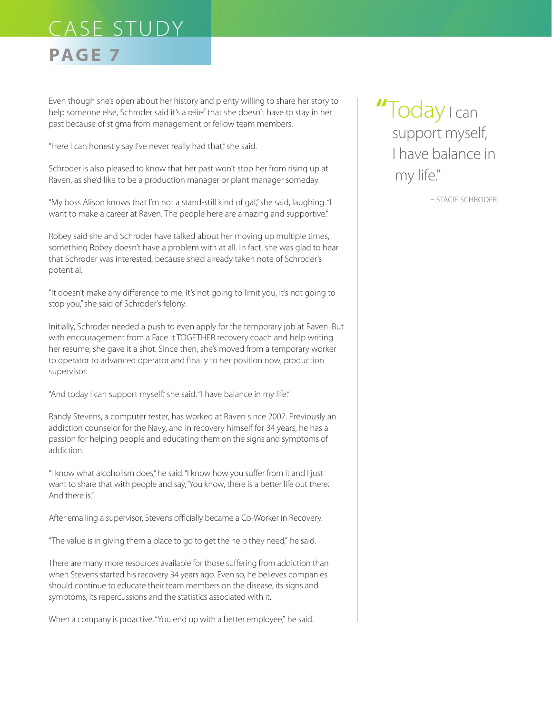## **PAGE 7**

Even though she's open about her history and plenty willing to share her story to help someone else, Schroder said it's a relief that she doesn't have to stay in her past because of stigma from management or fellow team members.

"Here I can honestly say I've never really had that," she said.

Schroder is also pleased to know that her past won't stop her from rising up at Raven, as she'd like to be a production manager or plant manager someday.

"My boss Alison knows that I'm not a stand-still kind of gal," she said, laughing. "I want to make a career at Raven. The people here are amazing and supportive."

Robey said she and Schroder have talked about her moving up multiple times, something Robey doesn't have a problem with at all. In fact, she was glad to hear that Schroder was interested, because she'd already taken note of Schroder's potential.

"It doesn't make any difference to me. It's not going to limit you, it's not going to stop you," she said of Schroder's felony.

Initially, Schroder needed a push to even apply for the temporary job at Raven. But with encouragement from a Face It TOGETHER recovery coach and help writing her resume, she gave it a shot. Since then, she's moved from a temporary worker to operator to advanced operator and finally to her position now, production supervisor.

"And today I can support myself," she said. "I have balance in my life."

Randy Stevens, a computer tester, has worked at Raven since 2007. Previously an addiction counselor for the Navy, and in recovery himself for 34 years, he has a passion for helping people and educating them on the signs and symptoms of addiction.

"I know what alcoholism does," he said. "I know how you suffer from it and I just want to share that with people and say, 'You know, there is a better life out there.' And there is"

After emailing a supervisor, Stevens officially became a Co-Worker in Recovery.

"The value is in giving them a place to go to get the help they need," he said.

There are many more resources available for those suffering from addiction than when Stevens started his recovery 34 years ago. Even so, he believes companies should continue to educate their team members on the disease, its signs and symptoms, its repercussions and the statistics associated with it.

When a company is proactive, "You end up with a better employee," he said.

**"**Today I can support myself, I have balance in my life."

– Stacie Schroder